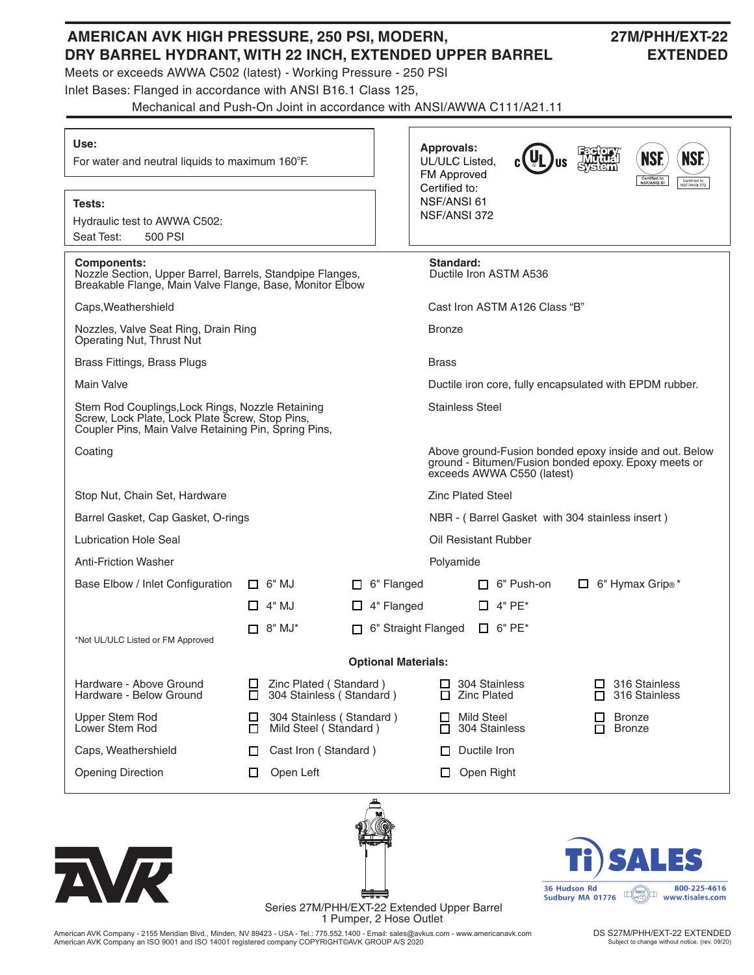# **AMERICAN AVK HIGH PRESSURE, 250 PSI, MODERN, 27M/PHH/EXT-22 DRY BARREL HYDRANT, WITH 22 INCH, EXTENDED UPPER BARREL EXTENDED**

Meets or exceeds AWWA C502 (latest) - Working Pressure - 250 PSI

Inlet Bases: Flanged in accordance with ANSI B16.1 Class 125,

Mechanical and Push-On Joint in accordance with ANSI/AWWA C111/A21.11

| Use:<br>For water and neutral liquids to maximum 160°F.                                                                                                     |                                                                                                                                              | <b>Approvals:</b><br>UL/ULC Listed.<br>FM Approved<br>Certified to: |                               |                                               | <b>NSF.</b><br><b>NSF.</b><br>Certified to<br>NSF/ANSI 61<br>Certified to<br>NSF/ANSI 372 |                                    |  |  |
|-------------------------------------------------------------------------------------------------------------------------------------------------------------|----------------------------------------------------------------------------------------------------------------------------------------------|---------------------------------------------------------------------|-------------------------------|-----------------------------------------------|-------------------------------------------------------------------------------------------|------------------------------------|--|--|
| Tests:<br>Hydraulic test to AWWA C502:<br>Seat Test:<br>500 PSI                                                                                             |                                                                                                                                              |                                                                     | NSF/ANSI 61<br>NSF/ANSI 372   |                                               |                                                                                           |                                    |  |  |
| <b>Components:</b><br>Nozzle Section, Upper Barrel, Barrels, Standpipe Flanges,<br>Breakable Flange, Main Valve Flange, Base, Monitor Elbow                 |                                                                                                                                              |                                                                     | Standard:                     | Ductile Iron ASTM A536                        |                                                                                           |                                    |  |  |
| Caps, Weathershield                                                                                                                                         |                                                                                                                                              |                                                                     | Cast Iron ASTM A126 Class "B" |                                               |                                                                                           |                                    |  |  |
| Nozzles, Valve Seat Ring, Drain Ring<br>Operating Nut, Thrust Nut                                                                                           |                                                                                                                                              | <b>Bronze</b>                                                       |                               |                                               |                                                                                           |                                    |  |  |
| Brass Fittings, Brass Plugs                                                                                                                                 |                                                                                                                                              |                                                                     | <b>Brass</b>                  |                                               |                                                                                           |                                    |  |  |
| Main Valve                                                                                                                                                  | Ductile iron core, fully encapsulated with EPDM rubber.                                                                                      |                                                                     |                               |                                               |                                                                                           |                                    |  |  |
| Stem Rod Couplings, Lock Rings, Nozzle Retaining<br>Screw, Lock Plate, Lock Plate Screw, Stop Pins,<br>Coupler Pins, Main Valve Retaining Pin, Spring Pins, | <b>Stainless Steel</b>                                                                                                                       |                                                                     |                               |                                               |                                                                                           |                                    |  |  |
| Coating                                                                                                                                                     | Above ground-Fusion bonded epoxy inside and out. Below<br>ground - Bitumen/Fusion bonded epoxy. Epoxy meets or<br>exceeds AWWA C550 (latest) |                                                                     |                               |                                               |                                                                                           |                                    |  |  |
| Stop Nut, Chain Set, Hardware                                                                                                                               | <b>Zinc Plated Steel</b>                                                                                                                     |                                                                     |                               |                                               |                                                                                           |                                    |  |  |
| Barrel Gasket, Cap Gasket, O-rings                                                                                                                          |                                                                                                                                              | NBR - (Barrel Gasket with 304 stainless insert)                     |                               |                                               |                                                                                           |                                    |  |  |
| Lubrication Hole Seal                                                                                                                                       | Oil Resistant Rubber                                                                                                                         |                                                                     |                               |                                               |                                                                                           |                                    |  |  |
| <b>Anti-Friction Washer</b>                                                                                                                                 |                                                                                                                                              |                                                                     | Polyamide                     |                                               |                                                                                           |                                    |  |  |
| Base Elbow / Inlet Configuration                                                                                                                            | $\Box$ 6" MJ                                                                                                                                 | $\Box$ 6" Flanged                                                   |                               | $\Box$ 6" Push-on                             |                                                                                           | $\Box$ 6" Hymax Grip <sup>®*</sup> |  |  |
|                                                                                                                                                             | $\Box$ 4" MJ                                                                                                                                 | $\Box$ 4" Flanged                                                   |                               | $\Box$ 4" PE*                                 |                                                                                           |                                    |  |  |
| *Not UL/ULC Listed or FM Approved                                                                                                                           | $\Box$ 8" MJ*                                                                                                                                | 6" Straight Flanged                                                 |                               | $\Box$ 6" PE*                                 |                                                                                           |                                    |  |  |
|                                                                                                                                                             |                                                                                                                                              | <b>Optional Materials:</b>                                          |                               |                                               |                                                                                           |                                    |  |  |
| Hardware - Above Ground<br>Hardware - Below Ground                                                                                                          | □<br>□                                                                                                                                       | Zinc Plated (Standard)<br>304 Stainless (Standard)                  |                               | 304 Stainless<br>ப<br><b>Zinc Plated</b><br>П |                                                                                           | 316 Stainless<br>316 Stainless     |  |  |
| <b>Upper Stem Rod</b><br>Lower Stem Rod                                                                                                                     | □<br>□                                                                                                                                       | 304 Stainless (Standard)<br>Mild Steel (Standard)                   |                               | <b>Mild Steel</b><br>304 Stainless            | ப<br>П                                                                                    | <b>Bronze</b><br><b>Bronze</b>     |  |  |
| Caps, Weathershield                                                                                                                                         | Cast Iron (Standard)<br>П                                                                                                                    |                                                                     | П                             | Ductile Iron                                  |                                                                                           |                                    |  |  |
| <b>Opening Direction</b>                                                                                                                                    | Open Left<br>Ш                                                                                                                               |                                                                     | □                             | Open Right                                    |                                                                                           |                                    |  |  |
| <b>AVR</b>                                                                                                                                                  |                                                                                                                                              |                                                                     |                               |                                               | 36 Hudson Rd                                                                              | <b>ALES</b><br>800-225-4616        |  |  |

Series 27M/PHH/EXT-22 Extended Upper Barrel 1 Pumper, 2 Hose Outlet

American AVK Company - 2155 Meridian Blvd., Minden, NV 89423 - USA - Tel.: 775.552.1400 - Email: sales@avkus.com - www.americanavk.com American AVK Company an ISO 9001 and ISO 14001 registered company COPYRIGHT©AVK GROUP A/S 2020

DS S27M/PHH/EXT-22 EXTENDED Subject to change without notice. (rev. 09/20)